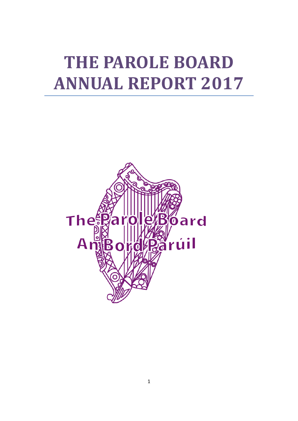# **THE PAROLE BOARD ANNUAL REPORT 2017**

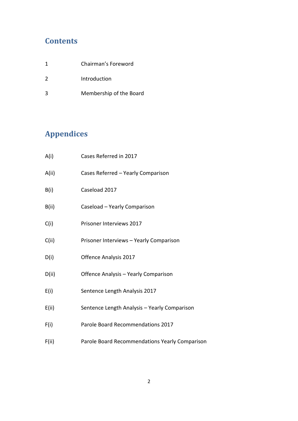## **Contents**

|               | Chairman's Foreword     |
|---------------|-------------------------|
| $\mathcal{L}$ | Introduction            |
| ર             | Membership of the Board |

# **Appendices**

| A(i)  | Cases Referred in 2017                         |
|-------|------------------------------------------------|
| A(ii) | Cases Referred - Yearly Comparison             |
| B(i)  | Caseload 2017                                  |
| B(ii) | Caseload - Yearly Comparison                   |
| C(i)  | Prisoner Interviews 2017                       |
| C(ii) | Prisoner Interviews - Yearly Comparison        |
| D(i)  | Offence Analysis 2017                          |
| D(ii) | Offence Analysis - Yearly Comparison           |
| E(i)  | Sentence Length Analysis 2017                  |
| E(ii) | Sentence Length Analysis - Yearly Comparison   |
| F(i)  | Parole Board Recommendations 2017              |
| F(ii) | Parole Board Recommendations Yearly Comparison |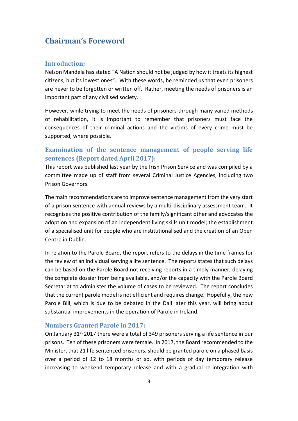### **Chairman's Foreword**

#### **Introduction:**

Nelson Mandela has stated "A Nation should not be judged by how it treats its highest citizens, but its lowest ones". With these words, he reminded us that even prisoners are never to be forgotten or written off. Rather, meeting the needs of prisoners is an important part of any civilised society.

However, while trying to meet the needs of prisoners through many varied methods of rehabilitation, it is important to remember that prisoners must face the consequences of their criminal actions and the victims of every crime must be supported, where possible.

#### **Examination of the sentence management of people serving life sentences (Report dated April 2017):**

This report was published last year by the Irish Prison Service and was compiled by a committee made up of staff from several Criminal Justice Agencies, including two Prison Governors.

The main recommendations are to improve sentence management from the very start of a prison sentence with annual reviews by a multi-disciplinary assessment team. It recognises the positive contribution of the family/significant other and advocates the adoption and expansion of an independent living skills unit model; the establishment of a specialised unit for people who are institutionalised and the creation of an Open Centre in Dublin.

In relation to the Parole Board, the report refers to the delays in the time frames for the review of an individual serving a life sentence. The reports states that such delays can be based on the Parole Board not receiving reports in a timely manner, delaying the complete dossier from being available, and/or the capacity with the Parole Board Secretariat to administer the volume of cases to be reviewed. The report concludes that the current parole model is not efficient and requires change. Hopefully, the new Parole Bill, which is due to be debated in the Dail later this year, will bring about substantial improvements in the operation of Parole in Ireland.

#### **Numbers Granted Parole in 2017:**

On January 31<sup>st</sup> 2017 there were a total of 349 prisoners serving a life sentence in our prisons. Ten of these prisoners were female. In 2017, the Board recommended to the Minister, that 21 life sentenced prisoners, should be granted parole on a phased basis over a period of 12 to 18 months or so, with periods of day temporary release increasing to weekend temporary release and with a gradual re-integration with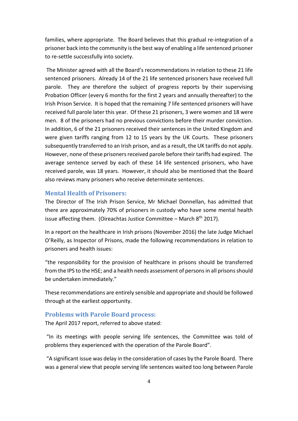families, where appropriate. The Board believes that this gradual re-integration of a prisoner back into the community is the best way of enabling a life sentenced prisoner to re-settle successfully into society.

The Minister agreed with all the Board's recommendations in relation to these 21 life sentenced prisoners. Already 14 of the 21 life sentenced prisoners have received full parole. They are therefore the subject of progress reports by their supervising Probation Officer (every 6 months for the first 2 years and annually thereafter) to the Irish Prison Service. It is hoped that the remaining 7 life sentenced prisoners will have received full parole later this year. Of these 21 prisoners, 3 were women and 18 were men. 8 of the prisoners had no previous convictions before their murder conviction. In addition, 6 of the 21 prisoners received their sentences in the United Kingdom and were given tariffs ranging from 12 to 15 years by the UK Courts. These prisoners subsequently transferred to an Irish prison, and as a result, the UK tariffs do not apply. However, none of these prisoners received parole before their tariffs had expired. The average sentence served by each of these 14 life sentenced prisoners, who have received parole, was 18 years. However, it should also be mentioned that the Board also reviews many prisoners who receive determinate sentences.

#### **Mental Health of Prisoners:**

The Director of The Irish Prison Service, Mr Michael Donnellan, has admitted that there are approximately 70% of prisoners in custody who have some mental health issue affecting them. (Oireachtas Justice Committee – March  $8<sup>th</sup>$  2017).

In a report on the healthcare in Irish prisons (November 2016) the late Judge Michael O'Reilly, as Inspector of Prisons, made the following recommendations in relation to prisoners and health issues:

"the responsibility for the provision of healthcare in prisons should be transferred from the IPS to the HSE; and a health needs assessment of persons in all prisons should be undertaken immediately."

These recommendations are entirely sensible and appropriate and should be followed through at the earliest opportunity.

#### **Problems with Parole Board process:**

The April 2017 report, referred to above stated:

"In its meetings with people serving life sentences, the Committee was told of problems they experienced with the operation of the Parole Board".

"A significant issue was delay in the consideration of cases by the Parole Board. There was a general view that people serving life sentences waited too long between Parole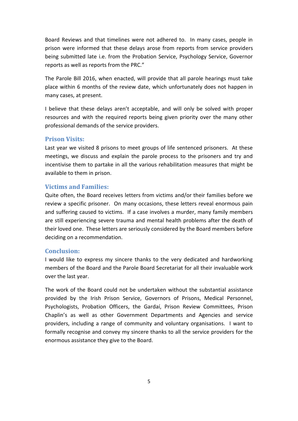Board Reviews and that timelines were not adhered to. In many cases, people in prison were informed that these delays arose from reports from service providers being submitted late i.e. from the Probation Service, Psychology Service, Governor reports as well as reports from the PRC."

The Parole Bill 2016, when enacted, will provide that all parole hearings must take place within 6 months of the review date, which unfortunately does not happen in many cases, at present.

I believe that these delays aren't acceptable, and will only be solved with proper resources and with the required reports being given priority over the many other professional demands of the service providers.

#### **Prison Visits:**

Last year we visited 8 prisons to meet groups of life sentenced prisoners. At these meetings, we discuss and explain the parole process to the prisoners and try and incentivise them to partake in all the various rehabilitation measures that might be available to them in prison.

#### **Victims and Families:**

Quite often, the Board receives letters from victims and/or their families before we review a specific prisoner. On many occasions, these letters reveal enormous pain and suffering caused to victims. If a case involves a murder, many family members are still experiencing severe trauma and mental health problems after the death of their loved one. These letters are seriously considered by the Board members before deciding on a recommendation.

#### **Conclusion:**

I would like to express my sincere thanks to the very dedicated and hardworking members of the Board and the Parole Board Secretariat for all their invaluable work over the last year.

The work of the Board could not be undertaken without the substantial assistance provided by the Irish Prison Service, Governors of Prisons, Medical Personnel, Psychologists, Probation Officers, the Gardaí, Prison Review Committees, Prison Chaplin's as well as other Government Departments and Agencies and service providers, including a range of community and voluntary organisations. I want to formally recognise and convey my sincere thanks to all the service providers for the enormous assistance they give to the Board.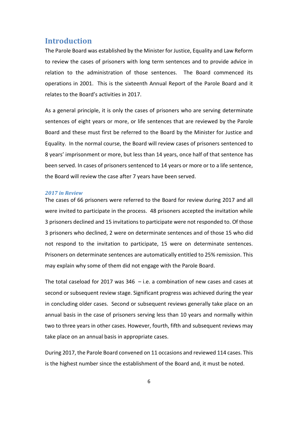#### **Introduction**

The Parole Board was established by the Minister for Justice, Equality and Law Reform to review the cases of prisoners with long term sentences and to provide advice in relation to the administration of those sentences. The Board commenced its operations in 2001. This is the sixteenth Annual Report of the Parole Board and it relates to the Board's activities in 2017.

As a general principle, it is only the cases of prisoners who are serving determinate sentences of eight years or more, or life sentences that are reviewed by the Parole Board and these must first be referred to the Board by the Minister for Justice and Equality. In the normal course, the Board will review cases of prisoners sentenced to 8 years' imprisonment or more, but less than 14 years, once half of that sentence has been served. In cases of prisoners sentenced to 14 years or more or to a life sentence, the Board will review the case after 7 years have been served.

#### *2017 in Review*

The cases of 66 prisoners were referred to the Board for review during 2017 and all were invited to participate in the process. 48 prisoners accepted the invitation while 3 prisoners declined and 15 invitations to participate were not responded to. Of those 3 prisoners who declined, 2 were on determinate sentences and of those 15 who did not respond to the invitation to participate, 15 were on determinate sentences. Prisoners on determinate sentences are automatically entitled to 25% remission. This may explain why some of them did not engage with the Parole Board.

The total caseload for 2017 was  $346 - i.e.$  a combination of new cases and cases at second or subsequent review stage. Significant progress was achieved during the year in concluding older cases. Second or subsequent reviews generally take place on an annual basis in the case of prisoners serving less than 10 years and normally within two to three years in other cases. However, fourth, fifth and subsequent reviews may take place on an annual basis in appropriate cases.

During 2017, the Parole Board convened on 11 occasions and reviewed 114 cases. This is the highest number since the establishment of the Board and, it must be noted.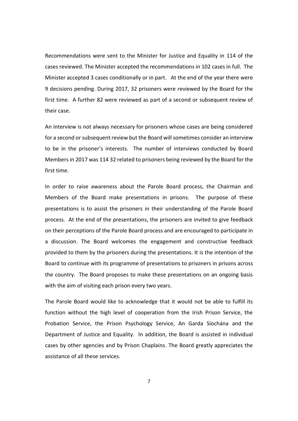Recommendations were sent to the Minister for Justice and Equality in 114 of the cases reviewed. The Minister accepted the recommendations in 102 cases in full. The Minister accepted 3 cases conditionally or in part. At the end of the year there were 9 decisions pending. During 2017, 32 prisoners were reviewed by the Board for the first time. A further 82 were reviewed as part of a second or subsequent review of their case.

An interview is not always necessary for prisoners whose cases are being considered for a second or subsequent review but the Board will sometimes consider an interview to be in the prisoner's interests. The number of interviews conducted by Board Members in 2017 was 114 32 related to prisoners being reviewed by the Board for the first time.

In order to raise awareness about the Parole Board process, the Chairman and Members of the Board make presentations in prisons. The purpose of these presentations is to assist the prisoners in their understanding of the Parole Board process. At the end of the presentations, the prisoners are invited to give feedback on their perceptions of the Parole Board process and are encouraged to participate in a discussion. The Board welcomes the engagement and constructive feedback provided to them by the prisoners during the presentations. It is the intention of the Board to continue with its programme of presentations to prisoners in prisons across the country. The Board proposes to make these presentations on an ongoing basis with the aim of visiting each prison every two years.

The Parole Board would like to acknowledge that it would not be able to fulfill its function without the high level of cooperation from the Irish Prison Service, the Probation Service, the Prison Psychology Service, An Garda Síochána and the Department of Justice and Equality. In addition, the Board is assisted in individual cases by other agencies and by Prison Chaplains. The Board greatly appreciates the assistance of all these services.

7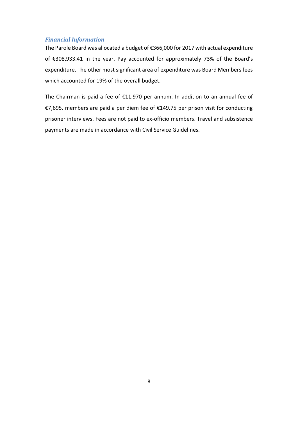#### *Financial Information*

The Parole Board was allocated a budget of €366,000 for 2017 with actual expenditure of €308,933.41 in the year. Pay accounted for approximately 73% of the Board's expenditure. The other most significant area of expenditure was Board Members fees which accounted for 19% of the overall budget.

The Chairman is paid a fee of €11,970 per annum. In addition to an annual fee of €7,695, members are paid a per diem fee of €149.75 per prison visit for conducting prisoner interviews. Fees are not paid to ex-officio members. Travel and subsistence payments are made in accordance with Civil Service Guidelines.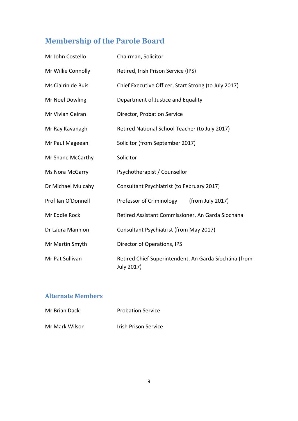# **Membership of the Parole Board**

| Mr John Costello   | Chairman, Solicitor                                                 |  |  |  |  |  |
|--------------------|---------------------------------------------------------------------|--|--|--|--|--|
| Mr Willie Connolly | Retired, Irish Prison Service (IPS)                                 |  |  |  |  |  |
| Ms Ciairín de Buis | Chief Executive Officer, Start Strong (to July 2017)                |  |  |  |  |  |
| Mr Noel Dowling    | Department of Justice and Equality                                  |  |  |  |  |  |
| Mr Vivian Geiran   | Director, Probation Service                                         |  |  |  |  |  |
| Mr Ray Kavanagh    | Retired National School Teacher (to July 2017)                      |  |  |  |  |  |
| Mr Paul Mageean    | Solicitor (from September 2017)                                     |  |  |  |  |  |
| Mr Shane McCarthy  | Solicitor                                                           |  |  |  |  |  |
| Ms Nora McGarry    | Psychotherapist / Counsellor                                        |  |  |  |  |  |
| Dr Michael Mulcahy | Consultant Psychiatrist (to February 2017)                          |  |  |  |  |  |
| Prof Ian O'Donnell | Professor of Criminology<br>(from July 2017)                        |  |  |  |  |  |
| Mr Eddie Rock      | Retired Assistant Commissioner, An Garda Síochána                   |  |  |  |  |  |
| Dr Laura Mannion   | Consultant Psychiatrist (from May 2017)                             |  |  |  |  |  |
| Mr Martin Smyth    | Director of Operations, IPS                                         |  |  |  |  |  |
| Mr Pat Sullivan    | Retired Chief Superintendent, An Garda Síochána (from<br>July 2017) |  |  |  |  |  |

## **Alternate Members**

| Mr Brian Dack  | <b>Probation Service</b> |
|----------------|--------------------------|
| Mr Mark Wilson | Irish Prison Service     |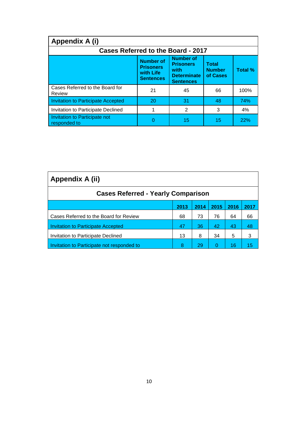| Appendix A (i)                                                                                                                                                                                                          |    |    |    |      |  |  |  |  |
|-------------------------------------------------------------------------------------------------------------------------------------------------------------------------------------------------------------------------|----|----|----|------|--|--|--|--|
| <b>Cases Referred to the Board - 2017</b>                                                                                                                                                                               |    |    |    |      |  |  |  |  |
| <b>Number of</b><br><b>Number of</b><br><b>Total</b><br><b>Prisoners</b><br><b>Prisoners</b><br>Total %<br><b>Number</b><br>with<br>with Life<br>of Cases<br><b>Determinate</b><br><b>Sentences</b><br><b>Sentences</b> |    |    |    |      |  |  |  |  |
| Cases Referred to the Board for<br>Review                                                                                                                                                                               | 21 | 45 | 66 | 100% |  |  |  |  |
| <b>Invitation to Participate Accepted</b>                                                                                                                                                                               | 20 | 31 | 48 | 74%  |  |  |  |  |
| Invitation to Participate Declined                                                                                                                                                                                      |    | 2  | 3  | 4%   |  |  |  |  |
| Invitation to Participate not<br>responded to                                                                                                                                                                           | n  | 15 | 15 | 22%  |  |  |  |  |

| Appendix A (ii)                            |      |      |      |      |      |  |  |
|--------------------------------------------|------|------|------|------|------|--|--|
| <b>Cases Referred - Yearly Comparison</b>  |      |      |      |      |      |  |  |
|                                            | 2013 | 2014 | 2015 | 2016 | 2017 |  |  |
| Cases Referred to the Board for Review     | 68   | 73   | 76   | 64   | 66   |  |  |
| <b>Invitation to Participate Accepted</b>  | 47   | 36   | 42   | 43   | 48   |  |  |
| Invitation to Participate Declined         | 13   | 8    | 34   | 5    | 3    |  |  |
| Invitation to Participate not responded to | 8    | 29   | 0    | 16   | 15   |  |  |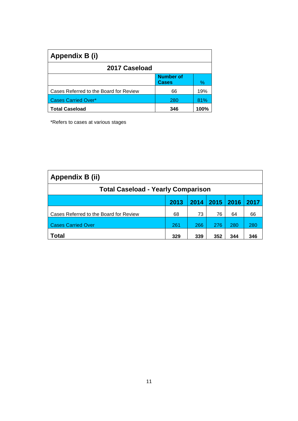| Appendix B (i)                         |                                  |      |
|----------------------------------------|----------------------------------|------|
| 2017 Caseload                          |                                  |      |
|                                        | <b>Number of</b><br><b>Cases</b> | $\%$ |
| Cases Referred to the Board for Review | 66                               | 19%  |
| <b>Cases Carried Over*</b>             | 280                              | 81%  |
| <b>Total Caseload</b>                  | 346                              | 100% |

\*Refers to cases at various stages

| Appendix B (ii)                           |      |      |      |      |      |  |  |
|-------------------------------------------|------|------|------|------|------|--|--|
| <b>Total Caseload - Yearly Comparison</b> |      |      |      |      |      |  |  |
|                                           | 2013 | 2014 | 2015 | 2016 | 2017 |  |  |
| Cases Referred to the Board for Review    | 68   | 73   | 76   | 64   | 66   |  |  |
| <b>Cases Carried Over</b>                 | 261  | 266  | 276  | 280  | 280  |  |  |
| <b>Total</b>                              | 329  | 339  | 352  | 344  | 346  |  |  |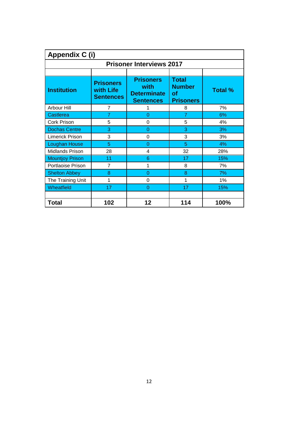| Appendix C (i)                  |                                                   |                                                                    |                                                                |                |  |  |  |  |  |
|---------------------------------|---------------------------------------------------|--------------------------------------------------------------------|----------------------------------------------------------------|----------------|--|--|--|--|--|
| <b>Prisoner Interviews 2017</b> |                                                   |                                                                    |                                                                |                |  |  |  |  |  |
|                                 |                                                   |                                                                    |                                                                |                |  |  |  |  |  |
| <b>Institution</b>              | <b>Prisoners</b><br>with Life<br><b>Sentences</b> | <b>Prisoners</b><br>with<br><b>Determinate</b><br><b>Sentences</b> | <b>Total</b><br><b>Number</b><br><b>of</b><br><b>Prisoners</b> | <b>Total %</b> |  |  |  |  |  |
| Arbour Hill                     | 7                                                 | 1                                                                  | 8                                                              | 7%             |  |  |  |  |  |
| Castlerea                       | $\overline{7}$                                    | 0                                                                  | $\overline{7}$                                                 | 6%             |  |  |  |  |  |
| Cork Prison                     | 5                                                 | 0                                                                  | 5                                                              | 4%             |  |  |  |  |  |
| <b>Dochas Centre</b>            | 3                                                 | 0                                                                  | 3                                                              | 3%             |  |  |  |  |  |
| Limerick Prison                 | 3                                                 | 0                                                                  | 3                                                              | 3%             |  |  |  |  |  |
| <b>Loughan House</b>            | 5                                                 | $\Omega$                                                           | 5                                                              | 4%             |  |  |  |  |  |
| <b>Midlands Prison</b>          | 28                                                | 4                                                                  | 32                                                             | 28%            |  |  |  |  |  |
| <b>Mountjoy Prison</b>          | 11                                                | 6                                                                  | 17                                                             | 15%            |  |  |  |  |  |
| Portlaoise Prison               | 7                                                 | 1                                                                  | 8                                                              | 7%             |  |  |  |  |  |
| <b>Shelton Abbey</b>            | 8                                                 | $\overline{0}$                                                     | 8                                                              | 7%             |  |  |  |  |  |
| The Training Unit               | 1                                                 | 0                                                                  | 1                                                              | 1%             |  |  |  |  |  |
| Wheatfield                      | 17                                                | $\overline{0}$                                                     | 17                                                             | 15%            |  |  |  |  |  |
| <b>Total</b>                    | 102                                               | 12                                                                 | 114                                                            | 100%           |  |  |  |  |  |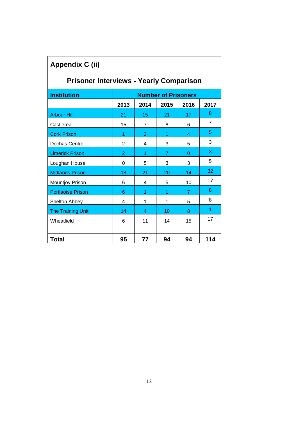| <b>Appendix C (ii)</b>                         |                            |                |      |                |                |  |  |  |
|------------------------------------------------|----------------------------|----------------|------|----------------|----------------|--|--|--|
| <b>Prisoner Interviews - Yearly Comparison</b> |                            |                |      |                |                |  |  |  |
| <b>Institution</b>                             | <b>Number of Prisoners</b> |                |      |                |                |  |  |  |
|                                                | 2013                       | 2014           | 2015 | 2016           | 2017           |  |  |  |
| <b>Arbour Hill</b>                             | 21                         | 15             | 21   | 17             | 8              |  |  |  |
| Castlerea                                      | 15                         | $\overline{7}$ | 8    | 6              | $\overline{7}$ |  |  |  |
| <b>Cork Prison</b>                             | 1                          | 3              | 1    | 4              | 5              |  |  |  |
| Dochas Centre                                  | $\overline{2}$             | 4              | 3    | 5              | 3              |  |  |  |
| <b>Limerick Prison</b>                         | $\overline{2}$             | 1              | 7    | $\overline{0}$ | 3              |  |  |  |
| Loughan House                                  | 0                          | 5              | 3    | 3              | 5              |  |  |  |
| <b>Midlands Prison</b>                         | 18                         | 21             | 20   | 14             | 32             |  |  |  |
| Mountjoy Prison                                | 6                          | 4              | 5    | 10             | 17             |  |  |  |
| <b>Portlaoise Prison</b>                       | 6                          | 1              | 1    | $\overline{7}$ | 8              |  |  |  |
| Shelton Abbey                                  | 4                          | 1              | 1    | 5              | 8              |  |  |  |
| The Training Unit                              | 14                         | 4              | 10   | 8              | 1              |  |  |  |
| Wheatfield                                     | 6                          | 11             | 14   | 15             | 17             |  |  |  |
|                                                |                            |                |      |                |                |  |  |  |
| <b>Total</b>                                   | 95                         | 77             | 94   | 94             | 114            |  |  |  |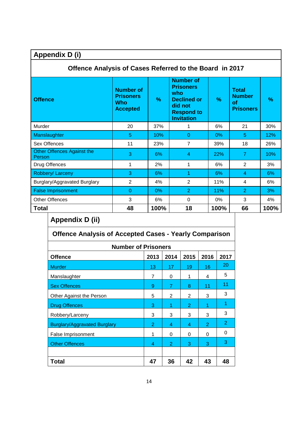| Appendix D (i)                                          |                                                                       |      |                                                                                                                        |      |                                                                |      |  |  |
|---------------------------------------------------------|-----------------------------------------------------------------------|------|------------------------------------------------------------------------------------------------------------------------|------|----------------------------------------------------------------|------|--|--|
| Offence Analysis of Cases Referred to the Board in 2017 |                                                                       |      |                                                                                                                        |      |                                                                |      |  |  |
| <b>Offence</b>                                          | <b>Number of</b><br><b>Prisoners</b><br><b>Who</b><br><b>Accepted</b> | $\%$ | <b>Number of</b><br><b>Prisoners</b><br>who<br><b>Declined or</b><br>did not<br><b>Respond to</b><br><b>Invitation</b> | %    | <b>Total</b><br><b>Number</b><br><b>of</b><br><b>Prisoners</b> | %    |  |  |
| Murder                                                  | 20                                                                    | 37%  | 1                                                                                                                      | 6%   | 21                                                             | 30%  |  |  |
| Manslaughter                                            | 5                                                                     | 10%  | 0                                                                                                                      | 0%   | 5                                                              | 12%  |  |  |
| Sex Offences                                            | 11                                                                    | 23%  | $\overline{7}$                                                                                                         | 39%  | 18                                                             | 26%  |  |  |
| <b>Other Offences Against the</b><br>Person             | 3                                                                     | 6%   | 4                                                                                                                      | 22%  | $\overline{7}$                                                 | 10%  |  |  |
| Drug Offences                                           | 1                                                                     | 2%   | 1                                                                                                                      | 6%   | $\overline{2}$                                                 | 3%   |  |  |
| Robbery/Larceny                                         | 3                                                                     | 6%   | 1                                                                                                                      | 6%   | 4                                                              | 6%   |  |  |
| Burglary/Aggravated Burglary                            | $\overline{2}$                                                        | 4%   | $\overline{2}$                                                                                                         | 11%  | 4                                                              | 6%   |  |  |
| <b>False Imprisonment</b>                               | $\overline{0}$                                                        | 0%   | $\overline{2}$                                                                                                         | 11%  | $\overline{2}$                                                 | 3%   |  |  |
| <b>Other Offences</b>                                   | 3                                                                     | 6%   | 0                                                                                                                      | 0%   | 3                                                              | 4%   |  |  |
| <b>Total</b>                                            | 48                                                                    | 100% | 18                                                                                                                     | 100% | 66                                                             | 100% |  |  |

## **Appendix D (ii)**

| <b>Offence Analysis of Accepted Cases - Yearly Comparison</b> |                |                |    |                |    |  |  |  |  |
|---------------------------------------------------------------|----------------|----------------|----|----------------|----|--|--|--|--|
| <b>Number of Prisoners</b>                                    |                |                |    |                |    |  |  |  |  |
| 2014<br>2016<br>2013<br>2015<br>2017<br><b>Offence</b>        |                |                |    |                |    |  |  |  |  |
| <b>Murder</b>                                                 | 13             | 17             | 19 | 16             | 20 |  |  |  |  |
| Manslaughter                                                  | 7              | 0              | 1  | 4              | 5  |  |  |  |  |
| <b>Sex Offences</b>                                           | 9              | 7              | 8  | 11             | 11 |  |  |  |  |
| Other Against the Person                                      | 5              | $\overline{2}$ | 2  | 3              | 3  |  |  |  |  |
| <b>Drug Offences</b>                                          | 3              |                | 2  |                |    |  |  |  |  |
| Robbery/Larceny                                               | 3              | 3              | 3  | 3              | 3  |  |  |  |  |
| <b>Burglary/Aggravated Burglary</b>                           | $\overline{2}$ | 4              | 4  | $\overline{2}$ | 2  |  |  |  |  |
| False Imprisonment                                            | 1              | $\Omega$       | 0  | 0              | 0  |  |  |  |  |
| <b>Other Offences</b>                                         | 4              | $\overline{2}$ | 3  | 3              | 3  |  |  |  |  |
|                                                               |                |                |    |                |    |  |  |  |  |
| Total                                                         | 47             | 36             | 42 | 43             | 48 |  |  |  |  |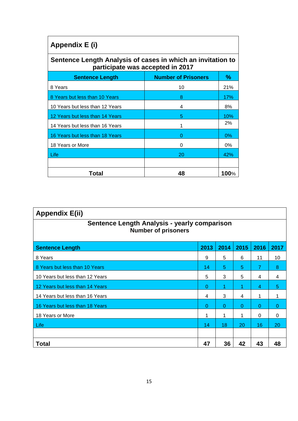| Appendix E (i)                                                                                  |                            |       |  |  |  |
|-------------------------------------------------------------------------------------------------|----------------------------|-------|--|--|--|
| Sentence Length Analysis of cases in which an invitation to<br>participate was accepted in 2017 |                            |       |  |  |  |
| <b>Sentence Length</b>                                                                          | <b>Number of Prisoners</b> | $\%$  |  |  |  |
| 8 Years                                                                                         | 10                         | 21%   |  |  |  |
| 8 Years but less than 10 Years                                                                  | 8                          | 17%   |  |  |  |
| 10 Years but less than 12 Years                                                                 | 4                          | 8%    |  |  |  |
| 12 Years but less than 14 Years                                                                 | 5                          | 10%   |  |  |  |
| 14 Years but less than 16 Years                                                                 |                            | 2%    |  |  |  |
| 16 Years but less than 18 Years                                                                 | O                          | $0\%$ |  |  |  |
| 18 Years or More                                                                                | 0                          | 0%    |  |  |  |
| Life                                                                                            | 20                         | 42%   |  |  |  |
|                                                                                                 |                            |       |  |  |  |
| Total                                                                                           | 48                         | 100%  |  |  |  |

| <b>Appendix E(ii)</b>                                                      |      |          |          |                |          |
|----------------------------------------------------------------------------|------|----------|----------|----------------|----------|
| Sentence Length Analysis - yearly comparison<br><b>Number of prisoners</b> |      |          |          |                |          |
| <b>Sentence Length</b>                                                     | 2013 | 2014     | 2015     | 2016           | 2017     |
| 8 Years                                                                    | 9    | 5        | 6        | 11             | 10       |
| 8 Years but less than 10 Years                                             | 14   | 5        | 5        | 7              | 8        |
| 10 Years but less than 12 Years                                            | 5    | 3        | 5        | 4              | 4        |
| 12 Years but less than 14 Years                                            | 0    |          | 1        | $\overline{4}$ | 5        |
| 14 Years but less than 16 Years                                            | 4    | 3        | 4        | 1              | 1        |
| 16 Years but less than 18 Years                                            | 0    | $\Omega$ | $\Omega$ | $\Omega$       | $\Omega$ |
| 18 Years or More                                                           | 1    | 1        | 1        | 0              | $\Omega$ |
| Life                                                                       | 14   | 18       | 20       | 16             | 20       |
|                                                                            |      |          |          |                |          |
| <b>Total</b>                                                               | 47   | 36       | 42       | 43             | 48       |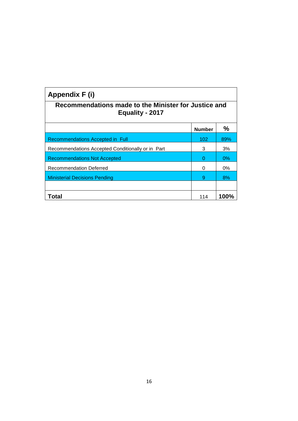| Appendix F (i)                                                          |               |       |  |  |  |
|-------------------------------------------------------------------------|---------------|-------|--|--|--|
| Recommendations made to the Minister for Justice and<br>Equality - 2017 |               |       |  |  |  |
|                                                                         | <b>Number</b> | ℅     |  |  |  |
| Recommendations Accepted in Full                                        | 102           | 89%   |  |  |  |
| Recommendations Accepted Conditionally or in Part                       | 3             | 3%    |  |  |  |
| <b>Recommendations Not Accepted</b>                                     | Ω             | $0\%$ |  |  |  |
| <b>Recommendation Deferred</b>                                          | 0             | $0\%$ |  |  |  |
| <b>Ministerial Decisions Pending</b>                                    | 9             | 8%    |  |  |  |
|                                                                         |               |       |  |  |  |
| Total                                                                   | 114           | 100%  |  |  |  |